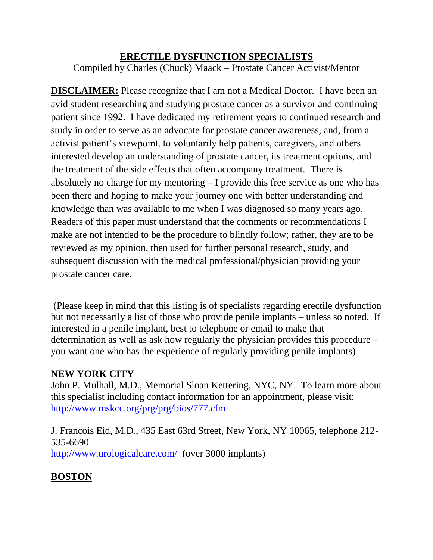#### **ERECTILE DYSFUNCTION SPECIALISTS**

Compiled by Charles (Chuck) Maack – Prostate Cancer Activist/Mentor

**DISCLAIMER:** Please recognize that I am not a Medical Doctor. I have been an avid student researching and studying prostate cancer as a survivor and continuing patient since 1992. I have dedicated my retirement years to continued research and study in order to serve as an advocate for prostate cancer awareness, and, from a activist patient's viewpoint, to voluntarily help patients, caregivers, and others interested develop an understanding of prostate cancer, its treatment options, and the treatment of the side effects that often accompany treatment. There is absolutely no charge for my mentoring – I provide this free service as one who has been there and hoping to make your journey one with better understanding and knowledge than was available to me when I was diagnosed so many years ago. Readers of this paper must understand that the comments or recommendations I make are not intended to be the procedure to blindly follow; rather, they are to be reviewed as my opinion, then used for further personal research, study, and subsequent discussion with the medical professional/physician providing your prostate cancer care.

(Please keep in mind that this listing is of specialists regarding erectile dysfunction but not necessarily a list of those who provide penile implants – unless so noted. If interested in a penile implant, best to telephone or email to make that determination as well as ask how regularly the physician provides this procedure – you want one who has the experience of regularly providing penile implants)

## **NEW YORK CITY**

John P. Mulhall, M.D., Memorial Sloan Kettering, NYC, NY. To learn more about this specialist including contact information for an appointment, please visit: <http://www.mskcc.org/prg/prg/bios/777.cfm>

J. Francois Eid, M.D., 435 East 63rd Street, New York, NY 10065, telephone 212- 535-6690 <http://www.urologicalcare.com/>(over 3000 implants)

## **BOSTON**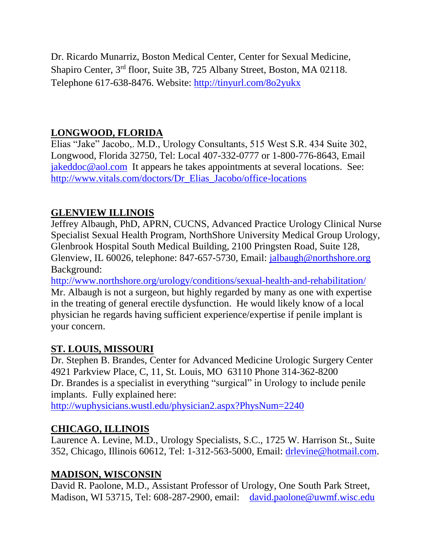Dr. Ricardo Munarriz, Boston Medical Center, Center for Sexual Medicine, Shapiro Center, 3rd floor, Suite 3B, 725 Albany Street, Boston, MA 02118. Telephone 617-638-8476. Website:<http://tinyurl.com/8o2yukx>

## **LONGWOOD, FLORIDA**

Elias "Jake" Jacobo,. M.D., Urology Consultants, 515 West S.R. 434 Suite 302, Longwood, Florida 32750, Tel: Local 407-332-0777 or 1-800-776-8643, Email [jakeddoc@aol.com](mailto:jakeddoc@aol.com) It appears he takes appointments at several locations. See: [http://www.vitals.com/doctors/Dr\\_Elias\\_Jacobo/office-locations](http://www.vitals.com/doctors/Dr_Elias_Jacobo/office-locations)

### **GLENVIEW ILLINOIS**

Jeffrey Albaugh, PhD, APRN, CUCNS, Advanced Practice Urology Clinical Nurse Specialist Sexual Health Program, NorthShore University Medical Group Urology, Glenbrook Hospital South Medical Building, 2100 Pringsten Road, Suite 128, Glenview, IL 60026, telephone: 847-657-5730, Email: [jalbaugh@northshore.org](mailto:jalbaugh@northshore.org)  Background:

<http://www.northshore.org/urology/conditions/sexual-health-and-rehabilitation/> Mr. Albaugh is not a surgeon, but highly regarded by many as one with expertise in the treating of general erectile dysfunction. He would likely know of a local physician he regards having sufficient experience/expertise if penile implant is your concern.

#### **ST. LOUIS, MISSOURI**

Dr. Stephen B. Brandes, Center for Advanced Medicine Urologic Surgery Center 4921 Parkview Place, C, 11, St. Louis, MO 63110 Phone 314-362-8200 Dr. Brandes is a specialist in everything "surgical" in Urology to include penile implants. Fully explained here:

<http://wuphysicians.wustl.edu/physician2.aspx?PhysNum=2240>

## **CHICAGO, ILLINOIS**

Laurence A. Levine, M.D., Urology Specialists, S.C., 1725 W. Harrison St., Suite 352, Chicago, Illinois 60612, Tel: 1-312-563-5000, Email: [drlevine@hotmail.com.](mailto:drlevine@hotmail.com)

#### **MADISON, WISCONSIN**

David R. Paolone, M.D., Assistant Professor of Urology, One South Park Street, Madison, WI 53715, Tel: 608-287-2900, email: [david.paolone@uwmf.wisc.edu](mailto:david.paolone@uwmf.wisc.edu)